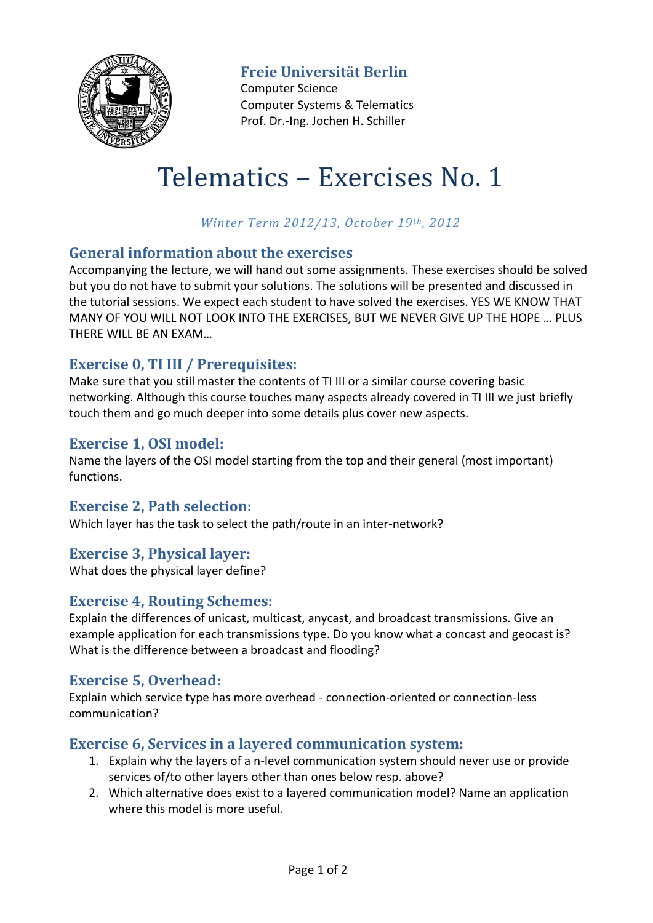

**Freie Universität Berlin**

Computer Science Computer Systems & Telematics Prof. Dr.-Ing. Jochen H. Schiller

# Telematics – Exercises No. 1

# *Winter Term 2012/13, October 19th, 2012*

## **General information about the exercises**

Accompanying the lecture, we will hand out some assignments. These exercises should be solved but you do not have to submit your solutions. The solutions will be presented and discussed in the tutorial sessions. We expect each student to have solved the exercises. YES WE KNOW THAT MANY OF YOU WILL NOT LOOK INTO THE EXERCISES, BUT WE NEVER GIVE UP THE HOPE … PLUS THERE WILL BE AN EXAM…

## **Exercise 0, TI III / Prerequisites:**

Make sure that you still master the contents of TI III or a similar course covering basic networking. Although this course touches many aspects already covered in TI III we just briefly touch them and go much deeper into some details plus cover new aspects.

#### **Exercise 1, OSI model:**

Name the layers of the OSI model starting from the top and their general (most important) functions.

## **Exercise 2, Path selection:**

Which layer has the task to select the path/route in an inter-network?

## **Exercise 3, Physical layer:**

What does the physical layer define?

## **Exercise 4, Routing Schemes:**

Explain the differences of unicast, multicast, anycast, and broadcast transmissions. Give an example application for each transmissions type. Do you know what a concast and geocast is? What is the difference between a broadcast and flooding?

## **Exercise 5, Overhead:**

Explain which service type has more overhead - connection-oriented or connection-less communication?

## **Exercise 6, Services in a layered communication system:**

- 1. Explain why the layers of a n-level communication system should never use or provide services of/to other layers other than ones below resp. above?
- 2. Which alternative does exist to a layered communication model? Name an application where this model is more useful.